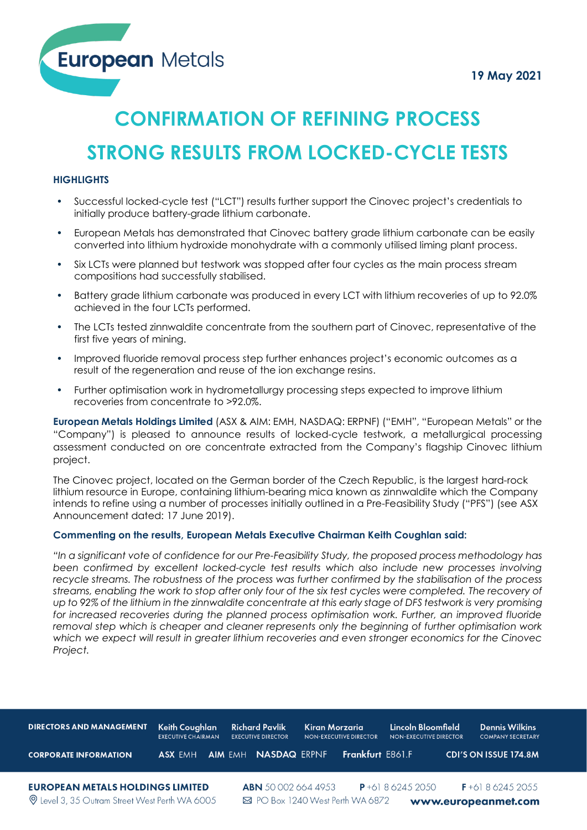**European Metals** 

# **CONFIRMATION OF REFINING PROCESS**

## **STRONG RESULTS FROM LOCKED-CYCLE TESTS**

#### **HIGHLIGHTS**

- Successful locked-cycle test ("LCT") results further support the Cinovec project's credentials to initially produce battery-grade lithium carbonate.
- European Metals has demonstrated that Cinovec battery grade lithium carbonate can be easily converted into lithium hydroxide monohydrate with a commonly utilised liming plant process.
- Six LCTs were planned but testwork was stopped after four cycles as the main process stream compositions had successfully stabilised.
- Battery grade lithium carbonate was produced in every LCT with lithium recoveries of up to 92.0% achieved in the four LCTs performed.
- The LCTs tested zinnwaldite concentrate from the southern part of Cinovec, representative of the first five years of mining.
- Improved fluoride removal process step further enhances project's economic outcomes as a result of the regeneration and reuse of the ion exchange resins.
- Further optimisation work in hydrometallurgy processing steps expected to improve lithium recoveries from concentrate to >92.0%.

**European Metals Holdings Limited** (ASX & AIM: EMH, NASDAQ: ERPNF) ("EMH", "European Metals" or the "Company") is pleased to announce results of locked-cycle testwork, a metallurgical processing assessment conducted on ore concentrate extracted from the Company's flagship Cinovec lithium project.

The Cinovec project, located on the German border of the Czech Republic, is the largest hard-rock lithium resource in Europe, containing lithium-bearing mica known as zinnwaldite which the Company intends to refine using a number of processes initially outlined in a Pre-Feasibility Study ("PFS") (see ASX Announcement dated: 17 June 2019).

#### **Commenting on the results, European Metals Executive Chairman Keith Coughlan said:**

*"In a significant vote of confidence for our Pre-Feasibility Study, the proposed process methodology has been confirmed by excellent locked-cycle test results which also include new processes involving recycle streams. The robustness of the process was further confirmed by the stabilisation of the process streams, enabling the work to stop after only four of the six test cycles were completed. The recovery of up to 92% of the lithium in the zinnwaldite concentrate at this early stage of DFS testwork is very promising*  for increased recoveries during the planned process optimisation work. Further, an improved fluoride *removal step which is cheaper and cleaner represents only the beginning of further optimisation work which we expect will result in greater lithium recoveries and even stronger economics for the Cinovec Project.*

| <b>DIRECTORS AND MANAGEMENT</b>                                                           | Keith Coughlan<br><b>EXECUTIVE CHAIRMAN</b> | <b>Richard Pavlik</b><br><b>EXECUTIVE DIRECTOR</b> | Kiran Morzaria<br>NON-EXECUTIVE DIRECTOR | Lincoln Bloomfield<br>NON-EXECUTIVE DIRECTOR | <b>Dennis Wilkins</b><br><b>COMPANY SECRETARY</b> |
|-------------------------------------------------------------------------------------------|---------------------------------------------|----------------------------------------------------|------------------------------------------|----------------------------------------------|---------------------------------------------------|
| <b>CORPORATE INFORMATION</b>                                                              | ASX EMH                                     | <b>NASDAQ ERPNE</b><br><b>AIM EMH</b>              | Frankfurt E861.F                         |                                              | <b>CDI'S ON ISSUE 174.8M</b>                      |
| <b>EUROPEAN METALS HOLDINGS LIMITED</b><br>Q Level 3, 35 Outram Street West Perth WA 6005 |                                             | <b>ABN</b> 500026644953                            | ⊠ PO Box 1240 West Perth WA 6872         | $P + 61862452050$                            | $F + 61862452055$<br>www.europeanmet.com          |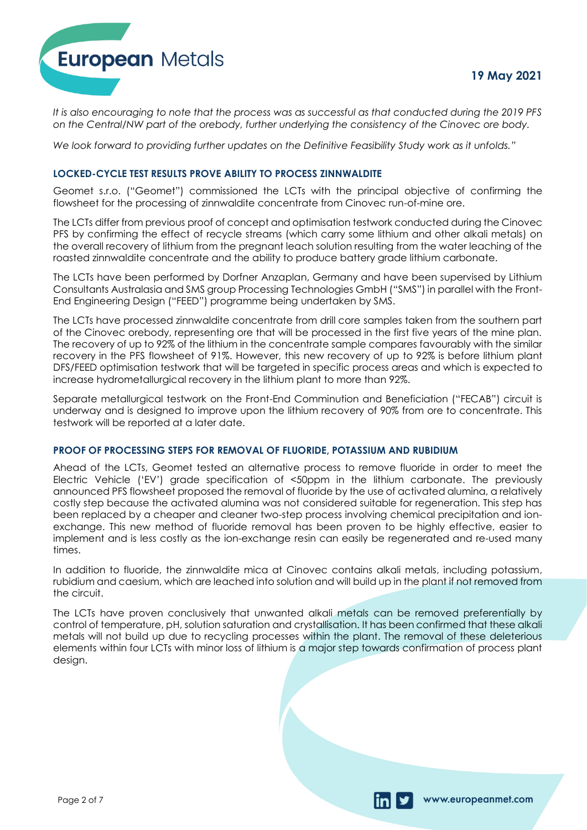

www.europeanmet.com



*It is also encouraging to note that the process was as successful as that conducted during the 2019 PFS on the Central/NW part of the orebody, further underlying the consistency of the Cinovec ore body.*

*We look forward to providing further updates on the Definitive Feasibility Study work as it unfolds."*

#### **LOCKED-CYCLE TEST RESULTS PROVE ABILITY TO PROCESS ZINNWALDITE**

Geomet s.r.o. ("Geomet") commissioned the LCTs with the principal objective of confirming the flowsheet for the processing of zinnwaldite concentrate from Cinovec run-of-mine ore.

The LCTs differ from previous proof of concept and optimisation testwork conducted during the Cinovec PFS by confirming the effect of recycle streams (which carry some lithium and other alkali metals) on the overall recovery of lithium from the pregnant leach solution resulting from the water leaching of the roasted zinnwaldite concentrate and the ability to produce battery grade lithium carbonate.

The LCTs have been performed by Dorfner Anzaplan, Germany and have been supervised by Lithium Consultants Australasia and SMS group Processing Technologies GmbH ("SMS") in parallel with the Front-End Engineering Design ("FEED") programme being undertaken by SMS.

The LCTs have processed zinnwaldite concentrate from drill core samples taken from the southern part of the Cinovec orebody, representing ore that will be processed in the first five years of the mine plan. The recovery of up to 92% of the lithium in the concentrate sample compares favourably with the similar recovery in the PFS flowsheet of 91%. However, this new recovery of up to 92% is before lithium plant DFS/FEED optimisation testwork that will be targeted in specific process areas and which is expected to increase hydrometallurgical recovery in the lithium plant to more than 92%.

Separate metallurgical testwork on the Front-End Comminution and Beneficiation ("FECAB") circuit is underway and is designed to improve upon the lithium recovery of 90% from ore to concentrate. This testwork will be reported at a later date.

#### **PROOF OF PROCESSING STEPS FOR REMOVAL OF FLUORIDE, POTASSIUM AND RUBIDIUM**

Ahead of the LCTs, Geomet tested an alternative process to remove fluoride in order to meet the Electric Vehicle ('EV') grade specification of <50ppm in the lithium carbonate. The previously announced PFS flowsheet proposed the removal of fluoride by the use of activated alumina, a relatively costly step because the activated alumina was not considered suitable for regeneration. This step has been replaced by a cheaper and cleaner two-step process involving chemical precipitation and ionexchange. This new method of fluoride removal has been proven to be highly effective, easier to implement and is less costly as the ion-exchange resin can easily be regenerated and re-used many times.

In addition to fluoride, the zinnwaldite mica at Cinovec contains alkali metals, including potassium, rubidium and caesium, which are leached into solution and will build up in the plant if not removed from the circuit.

The LCTs have proven conclusively that unwanted alkali metals can be removed preferentially by control of temperature, pH, solution saturation and crystallisation. It has been confirmed that these alkali metals will not build up due to recycling processes within the plant. The removal of these deleterious elements within four LCTs with minor loss of lithium is a major step towards confirmation of process plant design.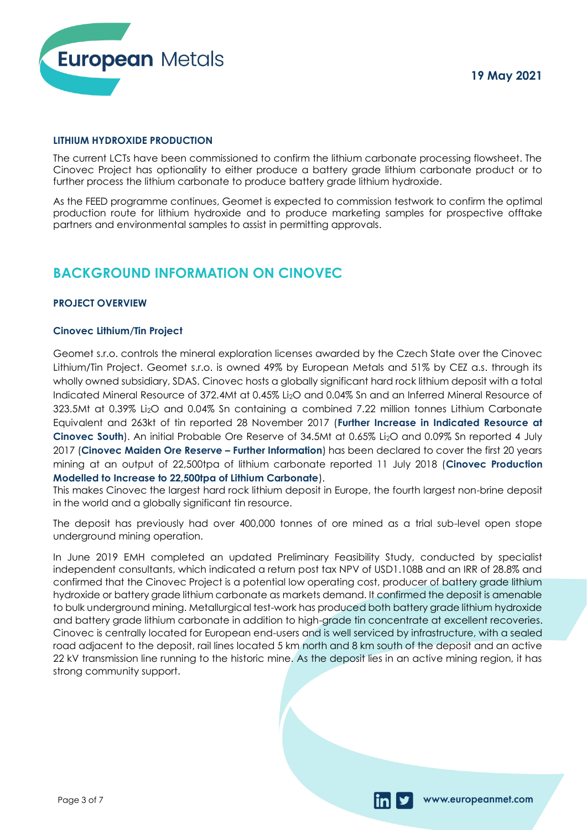

www.europeanmet.com

#### **LITHIUM HYDROXIDE PRODUCTION**

The current LCTs have been commissioned to confirm the lithium carbonate processing flowsheet. The Cinovec Project has optionality to either produce a battery grade lithium carbonate product or to further process the lithium carbonate to produce battery grade lithium hydroxide.

As the FEED programme continues, Geomet is expected to commission testwork to confirm the optimal production route for lithium hydroxide and to produce marketing samples for prospective offtake partners and environmental samples to assist in permitting approvals.

### **BACKGROUND INFORMATION ON CINOVEC**

#### **PROJECT OVERVIEW**

#### **Cinovec Lithium/Tin Project**

Geomet s.r.o. controls the mineral exploration licenses awarded by the Czech State over the Cinovec Lithium/Tin Project. Geomet s.r.o. is owned 49% by European Metals and 51% by CEZ a.s. through its wholly owned subsidiary, SDAS. Cinovec hosts a globally significant hard rock lithium deposit with a total Indicated Mineral Resource of 372.4Mt at 0.45% Li2O and 0.04% Sn and an Inferred Mineral Resource of 323.5Mt at 0.39% Li2O and 0.04% Sn containing a combined 7.22 million tonnes Lithium Carbonate Equivalent and 263kt of tin reported 28 November 2017 (**Further Increase in Indicated Resource at Cinovec South**). An initial Probable Ore Reserve of 34.5Mt at 0.65% Li2O and 0.09% Sn reported 4 July 2017 (**Cinovec Maiden Ore Reserve – Further Information**) has been declared to cover the first 20 years mining at an output of 22,500tpa of lithium carbonate reported 11 July 2018 (**Cinovec Production Modelled to Increase to 22,500tpa of Lithium Carbonate**).

This makes Cinovec the largest hard rock lithium deposit in Europe, the fourth largest non-brine deposit in the world and a globally significant tin resource.

The deposit has previously had over 400,000 tonnes of ore mined as a trial sub-level open stope underground mining operation.

In June 2019 EMH completed an updated Preliminary Feasibility Study, conducted by specialist independent consultants, which indicated a return post tax NPV of USD1.108B and an IRR of 28.8% and confirmed that the Cinovec Project is a potential low operating cost, producer of battery grade lithium hydroxide or battery grade lithium carbonate as markets demand. It confirmed the deposit is amenable to bulk underground mining. Metallurgical test-work has produced both battery grade lithium hydroxide and battery grade lithium carbonate in addition to high-grade tin concentrate at excellent recoveries. Cinovec is centrally located for European end-users and is well serviced by infrastructure, with a sealed road adjacent to the deposit, rail lines located 5 km north and 8 km south of the deposit and an active 22 kV transmission line running to the historic mine. As the deposit lies in an active mining region, it has strong community support.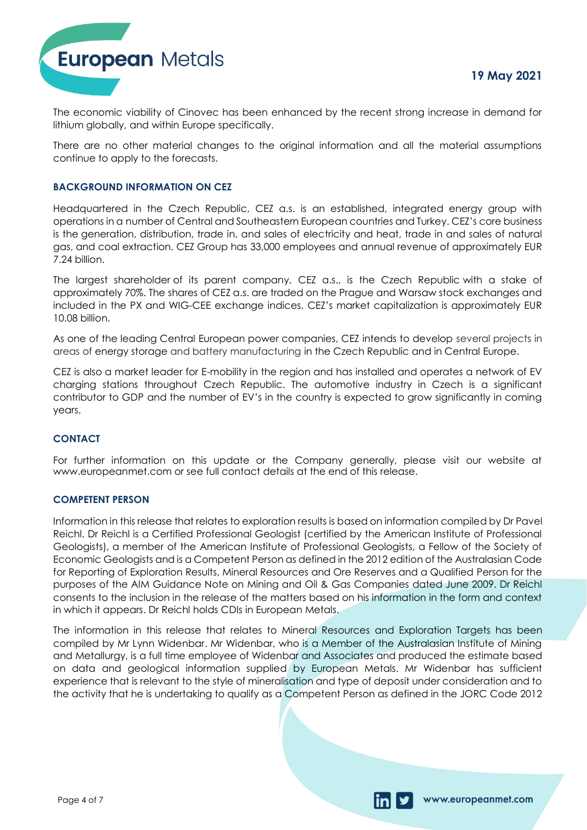

The economic viability of Cinovec has been enhanced by the recent strong increase in demand for lithium globally, and within Europe specifically.

There are no other material changes to the original information and all the material assumptions continue to apply to the forecasts.

#### **BACKGROUND INFORMATION ON CEZ**

Headquartered in the Czech Republic, CEZ a.s. is an established, integrated energy group with operations in a number of Central and Southeastern European countries and Turkey. CEZ's core business is the generation, distribution, trade in, and sales of electricity and heat, trade in and sales of natural gas, and coal extraction. CEZ Group has 33,000 employees and annual revenue of approximately EUR 7.24 billion.

The largest shareholder of its parent company, CEZ a.s., is the Czech Republic with a stake of approximately 70%. The shares of CEZ a.s. are traded on the Prague and Warsaw stock exchanges and included in the PX and WIG-CEE exchange indices. CEZ's market capitalization is approximately EUR 10.08 billion.

As one of the leading Central European power companies, CEZ intends to develop several projects in areas of energy storage and battery manufacturing in the Czech Republic and in Central Europe.

CEZ is also a market leader for E-mobility in the region and has installed and operates a network of EV charging stations throughout Czech Republic. The automotive industry in Czech is a significant contributor to GDP and the number of EV's in the country is expected to grow significantly in coming years.

#### **CONTACT**

For further information on this update or the Company generally, please visit our website at www.europeanmet.com or see full contact details at the end of this release.

#### **COMPETENT PERSON**

Information in this release that relates to exploration results is based on information compiled by Dr Pavel Reichl. Dr Reichl is a Certified Professional Geologist (certified by the American Institute of Professional Geologists), a member of the American Institute of Professional Geologists, a Fellow of the Society of Economic Geologists and is a Competent Person as defined in the 2012 edition of the Australasian Code for Reporting of Exploration Results, Mineral Resources and Ore Reserves and a Qualified Person for the purposes of the AIM Guidance Note on Mining and Oil & Gas Companies dated June 2009. Dr Reichl consents to the inclusion in the release of the matters based on his information in the form and context in which it appears. Dr Reichl holds CDIs in European Metals.

The information in this release that relates to Mineral Resources and Exploration Targets has been compiled by Mr Lynn Widenbar. Mr Widenbar, who is a Member of the Australasian Institute of Mining and Metallurgy, is a full time employee of Widenbar and Associates and produced the estimate based on data and geological information supplied by European Metals. Mr Widenbar has sufficient experience that is relevant to the style of mineralisation and type of deposit under consideration and to the activity that he is undertaking to qualify as a Competent Person as defined in the JORC Code 2012

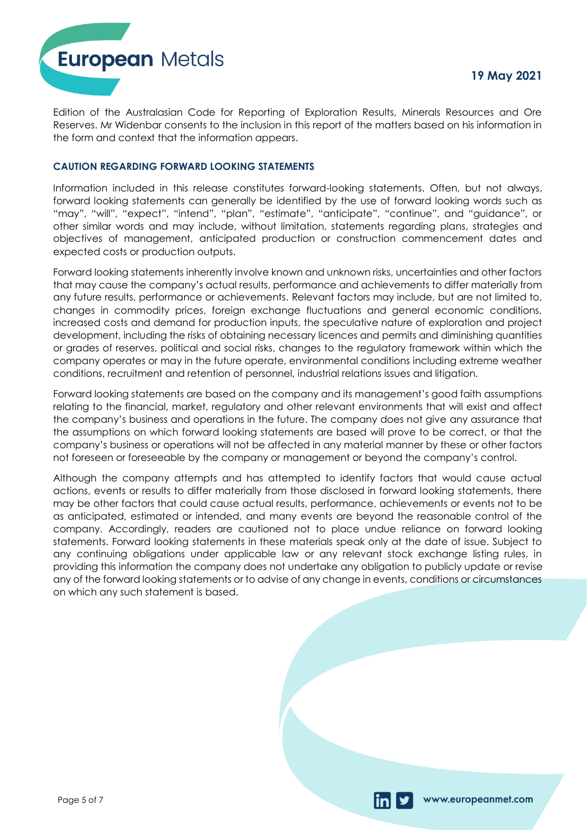**European Metals** 

Edition of the Australasian Code for Reporting of Exploration Results, Minerals Resources and Ore Reserves. Mr Widenbar consents to the inclusion in this report of the matters based on his information in the form and context that the information appears.

#### **CAUTION REGARDING FORWARD LOOKING STATEMENTS**

Information included in this release constitutes forward-looking statements. Often, but not always, forward looking statements can generally be identified by the use of forward looking words such as "may", "will", "expect", "intend", "plan", "estimate", "anticipate", "continue", and "guidance", or other similar words and may include, without limitation, statements regarding plans, strategies and objectives of management, anticipated production or construction commencement dates and expected costs or production outputs.

Forward looking statements inherently involve known and unknown risks, uncertainties and other factors that may cause the company's actual results, performance and achievements to differ materially from any future results, performance or achievements. Relevant factors may include, but are not limited to, changes in commodity prices, foreign exchange fluctuations and general economic conditions, increased costs and demand for production inputs, the speculative nature of exploration and project development, including the risks of obtaining necessary licences and permits and diminishing quantities or grades of reserves, political and social risks, changes to the regulatory framework within which the company operates or may in the future operate, environmental conditions including extreme weather conditions, recruitment and retention of personnel, industrial relations issues and litigation.

Forward looking statements are based on the company and its management's good faith assumptions relating to the financial, market, regulatory and other relevant environments that will exist and affect the company's business and operations in the future. The company does not give any assurance that the assumptions on which forward looking statements are based will prove to be correct, or that the company's business or operations will not be affected in any material manner by these or other factors not foreseen or foreseeable by the company or management or beyond the company's control.

Although the company attempts and has attempted to identify factors that would cause actual actions, events or results to differ materially from those disclosed in forward looking statements, there may be other factors that could cause actual results, performance, achievements or events not to be as anticipated, estimated or intended, and many events are beyond the reasonable control of the company. Accordingly, readers are cautioned not to place undue reliance on forward looking statements. Forward looking statements in these materials speak only at the date of issue. Subject to any continuing obligations under applicable law or any relevant stock exchange listing rules, in providing this information the company does not undertake any obligation to publicly update or revise any of the forward looking statements or to advise of any change in events, conditions or circumstances on which any such statement is based.

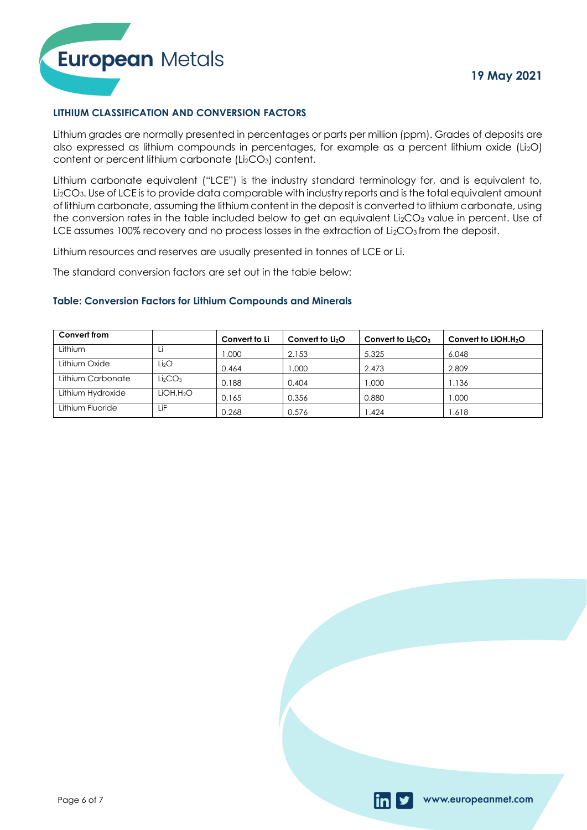



#### **LITHIUM CLASSIFICATION AND CONVERSION FACTORS**

Lithium grades are normally presented in percentages or parts per million (ppm). Grades of deposits are also expressed as lithium compounds in percentages, for example as a percent lithium oxide (Li<sub>2</sub>O) content or percent lithium carbonate (Li<sub>2</sub>CO<sub>3</sub>) content.

Lithium carbonate equivalent ("LCE") is the industry standard terminology for, and is equivalent to, Li2CO3. Use of LCE is to provide data comparable with industry reports and is the total equivalent amount of lithium carbonate, assuming the lithium content in the deposit is converted to lithium carbonate, using the conversion rates in the table included below to get an equivalent  $Li<sub>2</sub>CO<sub>3</sub>$  value in percent. Use of LCE assumes 100% recovery and no process losses in the extraction of Li<sub>2</sub>CO<sub>3</sub> from the deposit.

Lithium resources and reserves are usually presented in tonnes of LCE or Li.

The standard conversion factors are set out in the table below:

#### **Table: Conversion Factors for Lithium Compounds and Minerals**

| Convert from      |                                 | Convert to Li | Convert to $Li2O$ | Convert to $Li2CO3$ | Convert to LIOH.H <sub>2</sub> O |
|-------------------|---------------------------------|---------------|-------------------|---------------------|----------------------------------|
| Lithium           | Li                              | .000          | 2.153             | 5.325               | 6.048                            |
| Lithium Oxide     | Lİ2O                            | 0.464         | .000              | 2.473               | 2.809                            |
| Lithium Carbonate | Li <sub>2</sub> CO <sub>3</sub> | 0.188         | 0.404             | .000                | 1.136                            |
| Lithium Hydroxide | LIOH.H2O                        | 0.165         | 0.356             | 0.880               | 1.000                            |
| Lithium Fluoride  | ιiΕ                             | 0.268         | 0.576             | .424                | 1.618                            |